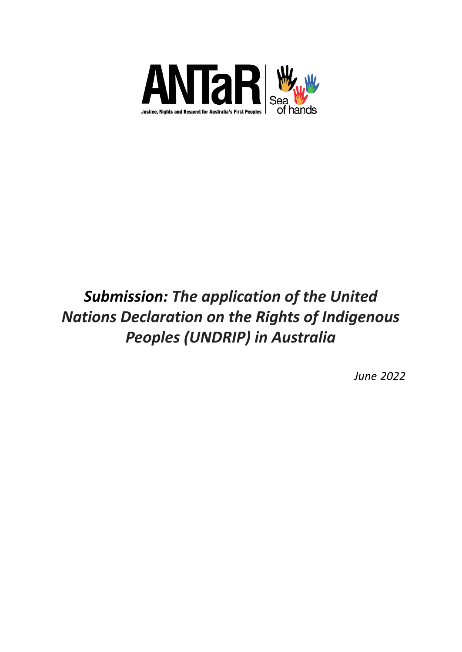

# *Submission: The application of the United Nations Declaration on the Rights of Indigenous Peoples (UNDRIP) in Australia*

*June 2022*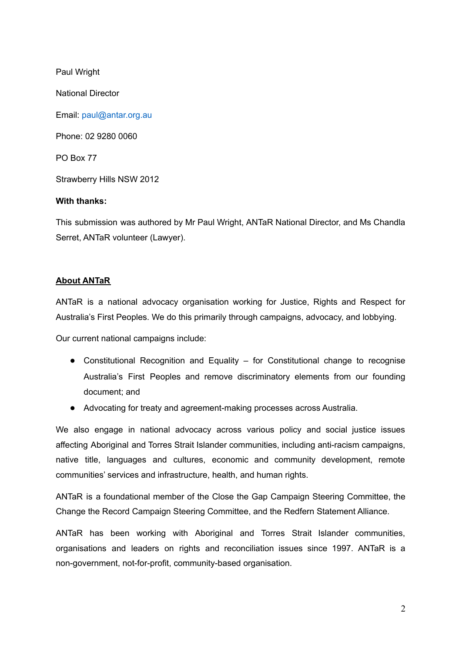Paul Wright

National Director

Email: paul@antar.org.au

Phone: 02 9280 0060

PO Box 77

Strawberry Hills NSW 2012

## **With thanks:**

This submission was authored by Mr Paul Wright, ANTaR National Director, and Ms Chandla Serret, ANTaR volunteer (Lawyer).

# **About ANTaR**

ANTaR is a national advocacy organisation working for Justice, Rights and Respect for Australia's First Peoples. We do this primarily through campaigns, advocacy, and lobbying.

Our current national campaigns include:

- Constitutional Recognition and Equality for Constitutional change to recognise Australia's First Peoples and remove discriminatory elements from our founding document; and
- Advocating for treaty and agreement-making processes across Australia.

We also engage in national advocacy across various policy and social justice issues affecting Aboriginal and Torres Strait Islander communities, including anti-racism campaigns, native title, languages and cultures, economic and community development, remote communities' services and infrastructure, health, and human rights.

ANTaR is a foundational member of the Close the Gap Campaign Steering Committee, the Change the Record Campaign Steering Committee, and the Redfern Statement Alliance.

ANTaR has been working with Aboriginal and Torres Strait Islander communities, organisations and leaders on rights and reconciliation issues since 1997. ANTaR is a non-government, not-for-profit, community-based organisation.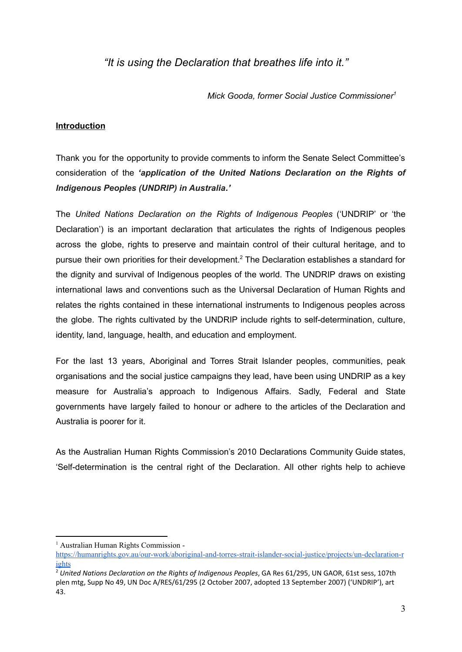*"It is using the Declaration that breathes life into it."*

*Mick Gooda, former Social Justice Commissioner 1*

## **Introduction**

Thank you for the opportunity to provide comments to inform the Senate Select Committee's consideration of the *'application of the United Nations Declaration on the Rights of Indigenous Peoples (UNDRIP) in Australia.'*

The *United Nations Declaration on the Rights of Indigenous Peoples* ('UNDRIP' or 'the Declaration') is an important declaration that articulates the rights of Indigenous peoples across the globe, rights to preserve and maintain control of their cultural heritage, and to pursue their own priorities for their development.<sup>2</sup> The Declaration establishes a standard for the dignity and survival of Indigenous peoples of the world. The UNDRIP draws on existing international laws and conventions such as the Universal Declaration of Human Rights and relates the rights contained in these international instruments to Indigenous peoples across the globe. The rights cultivated by the UNDRIP include rights to self-determination, culture, identity, land, language, health, and education and employment.

For the last 13 years, Aboriginal and Torres Strait Islander peoples, communities, peak organisations and the social justice campaigns they lead, have been using UNDRIP as a key measure for Australia's approach to Indigenous Affairs. Sadly, Federal and State governments have largely failed to honour or adhere to the articles of the Declaration and Australia is poorer for it.

As the Australian Human Rights Commission's 2010 Declarations Community Guide states, 'Self-determination is the central right of the Declaration. All other rights help to achieve

<sup>1</sup> Australian Human Rights Commission -

[https://humanrights.gov.au/our-work/aboriginal-and-torres-strait-islander-social-justice/projects/un-declaration-r](https://humanrights.gov.au/our-work/aboriginal-and-torres-strait-islander-social-justice/projects/un-declaration-rights) [ights](https://humanrights.gov.au/our-work/aboriginal-and-torres-strait-islander-social-justice/projects/un-declaration-rights)

<sup>2</sup> *United Nations Declaration on the Rights of Indigenous Peoples*, GA Res 61/295, UN GAOR, 61st sess, 107th plen mtg, Supp No 49, UN Doc A/RES/61/295 (2 October 2007, adopted 13 September 2007) ('UNDRIP'), art 43.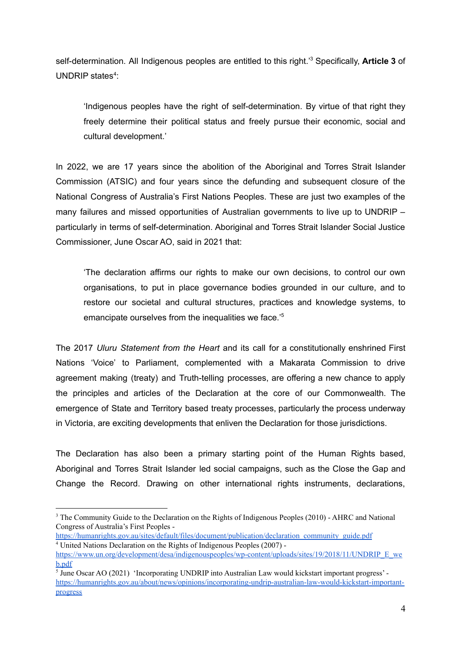self-determination. All Indigenous peoples are entitled to this right.<sup>3</sup> Specifically, Article 3 of UNDRIP states<sup>4</sup>:

'Indigenous peoples have the right of self-determination. By virtue of that right they freely determine their political status and freely pursue their economic, social and cultural development.'

In 2022, we are 17 years since the abolition of the Aboriginal and Torres Strait Islander Commission (ATSIC) and four years since the defunding and subsequent closure of the National Congress of Australia's First Nations Peoples. These are just two examples of the many failures and missed opportunities of Australian governments to live up to UNDRIP – particularly in terms of self-determination. Aboriginal and Torres Strait Islander Social Justice Commissioner, June Oscar AO, said in 2021 that:

'The declaration affirms our rights to make our own decisions, to control our own organisations, to put in place governance bodies grounded in our culture, and to restore our societal and cultural structures, practices and knowledge systems, to emancipate ourselves from the inequalities we face.' 5

The 2017 *Uluru Statement from the Heart* and its call for a constitutionally enshrined First Nations 'Voice' to Parliament, complemented with a Makarata Commission to drive agreement making (treaty) and Truth-telling processes, are offering a new chance to apply the principles and articles of the Declaration at the core of our Commonwealth. The emergence of State and Territory based treaty processes, particularly the process underway in Victoria, are exciting developments that enliven the Declaration for those jurisdictions.

The Declaration has also been a primary starting point of the Human Rights based, Aboriginal and Torres Strait Islander led social campaigns, such as the Close the Gap and Change the Record. Drawing on other international rights instruments, declarations,

<sup>4</sup> United Nations Declaration on the Rights of Indigenous Peoples (2007) [https://humanrights.gov.au/sites/default/files/document/publication/declaration\\_community\\_guide.pdf](https://humanrights.gov.au/sites/default/files/document/publication/declaration_community_guide.pdf)

<sup>&</sup>lt;sup>3</sup> The Community Guide to the Declaration on the Rights of Indigenous Peoples (2010) - AHRC and National Congress of Australia's First Peoples -

[https://www.un.org/development/desa/indigenouspeoples/wp-content/uploads/sites/19/2018/11/UNDRIP\\_E\\_we](https://www.un.org/development/desa/indigenouspeoples/wp-content/uploads/sites/19/2018/11/UNDRIP_E_web.pdf) [b.pdf](https://www.un.org/development/desa/indigenouspeoples/wp-content/uploads/sites/19/2018/11/UNDRIP_E_web.pdf)

<sup>&</sup>lt;sup>5</sup> June Oscar AO (2021) 'Incorporating UNDRIP into Australian Law would kickstart important progress' [https://humanrights.gov.au/about/news/opinions/incorporating-undrip-australian-law-would-kickstart-important](https://humanrights.gov.au/about/news/opinions/incorporating-undrip-australian-law-would-kickstart-important-progress)[progress](https://humanrights.gov.au/about/news/opinions/incorporating-undrip-australian-law-would-kickstart-important-progress)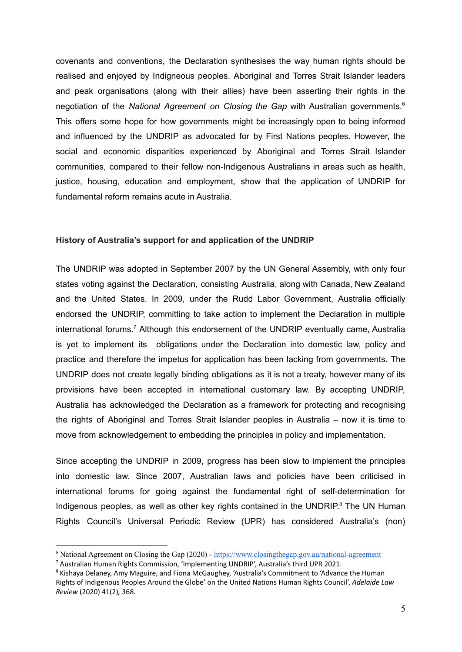covenants and conventions, the Declaration synthesises the way human rights should be realised and enjoyed by Indigneous peoples. Aboriginal and Torres Strait Islander leaders and peak organisations (along with their allies) have been asserting their rights in the negotiation of the *National Agreement on Closing the Gap* with Australian governments. 6 This offers some hope for how governments might be increasingly open to being informed and influenced by the UNDRIP as advocated for by First Nations peoples. However, the social and economic disparities experienced by Aboriginal and Torres Strait Islander communities, compared to their fellow non-Indigenous Australians in areas such as health, justice, housing, education and employment, show that the application of UNDRIP for fundamental reform remains acute in Australia.

#### **History of Australia's support for and application of the UNDRIP**

The UNDRIP was adopted in September 2007 by the UN General Assembly, with only four states voting against the Declaration, consisting Australia, along with Canada, New Zealand and the United States. In 2009, under the Rudd Labor Government, Australia officially endorsed the UNDRIP, committing to take action to implement the Declaration in multiple international forums.<sup>7</sup> Although this endorsement of the UNDRIP eventually came, Australia is yet to implement its obligations under the Declaration into domestic law, policy and practice and therefore the impetus for application has been lacking from governments. The UNDRIP does not create legally binding obligations as it is not a treaty, however many of its provisions have been accepted in international customary law. By accepting UNDRIP, Australia has acknowledged the Declaration as a framework for protecting and recognising the rights of Aboriginal and Torres Strait Islander peoples in Australia – now it is time to move from acknowledgement to embedding the principles in policy and implementation.

Since accepting the UNDRIP in 2009, progress has been slow to implement the principles into domestic law. Since 2007, Australian laws and policies have been criticised in international forums for going against the fundamental right of self-determination for Indigenous peoples, as well as other key rights contained in the UNDRIP. $8$  The UN Human Rights Council's Universal Periodic Review (UPR) has considered Australia's (non)

<sup>&</sup>lt;sup>6</sup> National Agreement on Closing the Gap (2020) - <https://www.closingthegap.gov.au/national-agreement>

<sup>7</sup> Australian Human Rights Commission, 'Implementing UNDRIP', Australia's third UPR 2021.

<sup>&</sup>lt;sup>8</sup> Kishaya Delaney, Amy Maguire, and Fiona McGaughey, 'Australia's Commitment to 'Advance the Human Rights of Indigenous Peoples Around the Globe' on the United Nations Human Rights Council', *Adelaide Law Review* (2020) 41(2)*,* 368.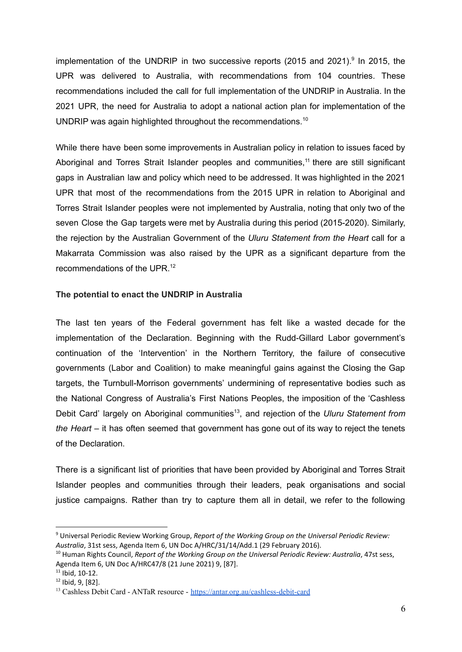implementation of the UNDRIP in two successive reports (2015 and 2021). $9$  In 2015, the UPR was delivered to Australia, with recommendations from 104 countries. These recommendations included the call for full implementation of the UNDRIP in Australia. In the 2021 UPR, the need for Australia to adopt a national action plan for implementation of the UNDRIP was again highlighted throughout the recommendations.<sup>10</sup>

While there have been some improvements in Australian policy in relation to issues faced by Aboriginal and Torres Strait Islander peoples and communities,<sup>11</sup> there are still significant gaps in Australian law and policy which need to be addressed. It was highlighted in the 2021 UPR that most of the recommendations from the 2015 UPR in relation to Aboriginal and Torres Strait Islander peoples were not implemented by Australia, noting that only two of the seven Close the Gap targets were met by Australia during this period (2015-2020). Similarly, the rejection by the Australian Government of the *Uluru Statement from the Heart* call for a Makarrata Commission was also raised by the UPR as a significant departure from the recommendations of the UPR. 12

#### **The potential to enact the UNDRIP in Australia**

The last ten years of the Federal government has felt like a wasted decade for the implementation of the Declaration. Beginning with the Rudd-Gillard Labor government's continuation of the 'Intervention' in the Northern Territory, the failure of consecutive governments (Labor and Coalition) to make meaningful gains against the Closing the Gap targets, the Turnbull-Morrison governments' undermining of representative bodies such as the National Congress of Australia's First Nations Peoples, the imposition of the 'Cashless Debit Card' largely on Aboriginal communities 13 , and rejection of the *Uluru Statement from the Heart* – it has often seemed that government has gone out of its way to reject the tenets of the Declaration.

There is a significant list of priorities that have been provided by Aboriginal and Torres Strait Islander peoples and communities through their leaders, peak organisations and social justice campaigns. Rather than try to capture them all in detail, we refer to the following

<sup>9</sup> Universal Periodic Review Working Group, *Report of the Working Group on the Universal Periodic Review: Australia*, 31st sess, Agenda Item 6, UN Doc A/HRC/31/14/Add.1 (29 February 2016).

<sup>10</sup> Human Rights Council, *Report of the Working Group on the Universal Periodic Review: Australia*, 47st sess, Agenda Item 6, UN Doc A/HRC47/8 (21 June 2021) 9, [87].

 $11$  Ibid, 10-12.

<sup>12</sup> Ibid, 9, [82].

<sup>&</sup>lt;sup>13</sup> Cashless Debit Card - ANTaR resource - <https://antar.org.au/cashless-debit-card>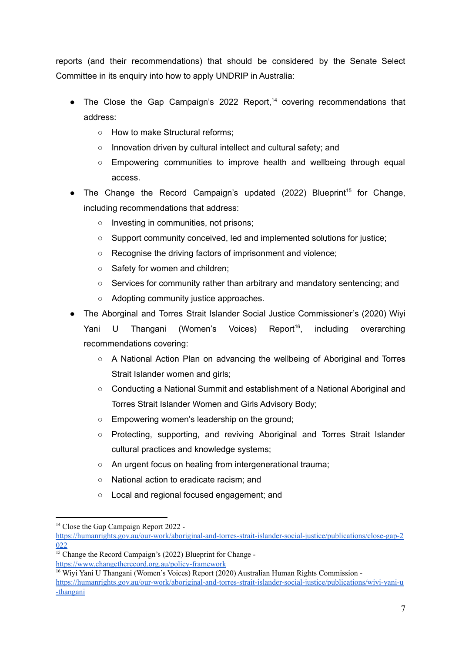reports (and their recommendations) that should be considered by the Senate Select Committee in its enquiry into how to apply UNDRIP in Australia:

- The Close the Gap Campaign's 2022 Report,<sup>14</sup> covering recommendations that address:
	- How to make Structural reforms;
	- Innovation driven by cultural intellect and cultural safety; and
	- Empowering communities to improve health and wellbeing through equal access.
- $\bullet$  The Change the Record Campaign's updated (2022) Blueprint<sup>15</sup> for Change, including recommendations that address:
	- Investing in communities, not prisons;
	- Support community conceived, led and implemented solutions for justice;
	- Recognise the driving factors of imprisonment and violence;
	- Safety for women and children;
	- Services for community rather than arbitrary and mandatory sentencing; and
	- Adopting community justice approaches.
- The Aborginal and Torres Strait Islander Social Justice Commissioner's (2020) Wiyi Yani U Thangani (Women's Voices) Report<sup>16</sup>, including overarching Report<sup>16</sup>, recommendations covering:
	- A National Action Plan on advancing the wellbeing of Aboriginal and Torres Strait Islander women and girls;
	- Conducting a National Summit and establishment of a National Aboriginal and Torres Strait Islander Women and Girls Advisory Body;
	- Empowering women's leadership on the ground;
	- Protecting, supporting, and reviving Aboriginal and Torres Strait Islander cultural practices and knowledge systems;
	- An urgent focus on healing from intergenerational trauma;
	- National action to eradicate racism; and
	- Local and regional focused engagement; and

<sup>&</sup>lt;sup>14</sup> Close the Gap Campaign Report 2022 -

[https://humanrights.gov.au/our-work/aboriginal-and-torres-strait-islander-social-justice/publications/close-gap-2](https://humanrights.gov.au/our-work/aboriginal-and-torres-strait-islander-social-justice/publications/close-gap-2022) [022](https://humanrights.gov.au/our-work/aboriginal-and-torres-strait-islander-social-justice/publications/close-gap-2022)

<sup>&</sup>lt;sup>15</sup> Change the Record Campaign's (2022) Blueprint for Change <https://www.changetherecord.org.au/policy-framework>

<sup>&</sup>lt;sup>16</sup> Wiyi Yani U Thangani (Women's Voices) Report (2020) Australian Human Rights Commission [https://humanrights.gov.au/our-work/aboriginal-and-torres-strait-islander-social-justice/publications/wiyi-yani-u](https://humanrights.gov.au/our-work/aboriginal-and-torres-strait-islander-social-justice/publications/wiyi-yani-u-thangani) [-thangani](https://humanrights.gov.au/our-work/aboriginal-and-torres-strait-islander-social-justice/publications/wiyi-yani-u-thangani)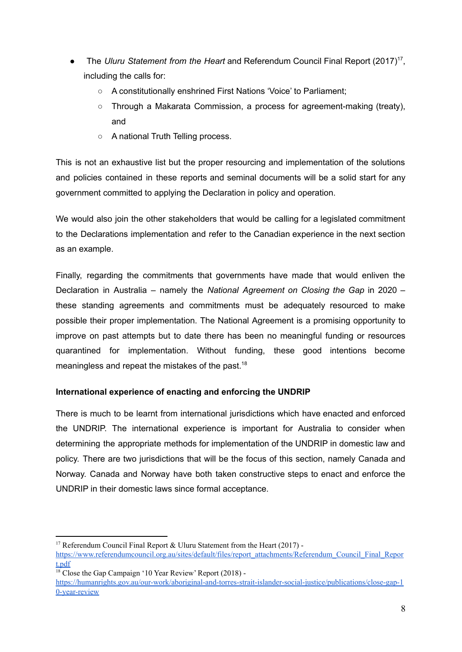- The *Uluru Statement from the Heart* and Referendum Council Final Report (2017)<sup>17</sup>, including the calls for:
	- A constitutionally enshrined First Nations 'Voice' to Parliament;
	- $\circ$  Through a Makarata Commission, a process for agreement-making (treaty), and
	- A national Truth Telling process.

This is not an exhaustive list but the proper resourcing and implementation of the solutions and policies contained in these reports and seminal documents will be a solid start for any government committed to applying the Declaration in policy and operation.

We would also join the other stakeholders that would be calling for a legislated commitment to the Declarations implementation and refer to the Canadian experience in the next section as an example.

Finally, regarding the commitments that governments have made that would enliven the Declaration in Australia – namely the *National Agreement on Closing the Gap* in 2020 – these standing agreements and commitments must be adequately resourced to make possible their proper implementation. The National Agreement is a promising opportunity to improve on past attempts but to date there has been no meaningful funding or resources quarantined for implementation. Without funding, these good intentions become meaningless and repeat the mistakes of the past.<sup>18</sup>

# **International experience of enacting and enforcing the UNDRIP**

There is much to be learnt from international jurisdictions which have enacted and enforced the UNDRIP. The international experience is important for Australia to consider when determining the appropriate methods for implementation of the UNDRIP in domestic law and policy. There are two jurisdictions that will be the focus of this section, namely Canada and Norway. Canada and Norway have both taken constructive steps to enact and enforce the UNDRIP in their domestic laws since formal acceptance.

<sup>&</sup>lt;sup>17</sup> Referendum Council Final Report & Uluru Statement from the Heart (2017) -

[https://www.referendumcouncil.org.au/sites/default/files/report\\_attachments/Referendum\\_Council\\_Final\\_Repor](https://www.referendumcouncil.org.au/sites/default/files/report_attachments/Referendum_Council_Final_Report.pdf) [t.pdf](https://www.referendumcouncil.org.au/sites/default/files/report_attachments/Referendum_Council_Final_Report.pdf)

<sup>&</sup>lt;sup>18</sup> Close the Gap Campaign '10 Year Review' Report (2018) -

[https://humanrights.gov.au/our-work/aboriginal-and-torres-strait-islander-social-justice/publications/close-gap-1](https://humanrights.gov.au/our-work/aboriginal-and-torres-strait-islander-social-justice/publications/close-gap-10-year-review) [0-year-review](https://humanrights.gov.au/our-work/aboriginal-and-torres-strait-islander-social-justice/publications/close-gap-10-year-review)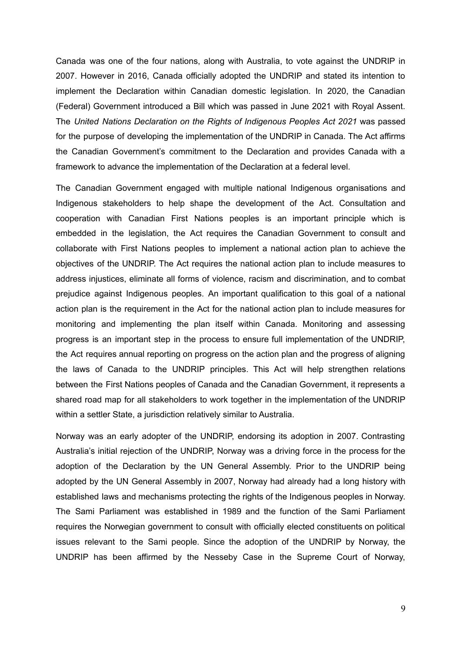Canada was one of the four nations, along with Australia, to vote against the UNDRIP in 2007. However in 2016, Canada officially adopted the UNDRIP and stated its intention to implement the Declaration within Canadian domestic legislation. In 2020, the Canadian (Federal) Government introduced a Bill which was passed in June 2021 with Royal Assent. The *United Nations Declaration on the Rights of Indigenous Peoples Act 2021* was passed for the purpose of developing the implementation of the UNDRIP in Canada. The Act affirms the Canadian Government's commitment to the Declaration and provides Canada with a framework to advance the implementation of the Declaration at a federal level.

The Canadian Government engaged with multiple national Indigenous organisations and Indigenous stakeholders to help shape the development of the Act. Consultation and cooperation with Canadian First Nations peoples is an important principle which is embedded in the legislation, the Act requires the Canadian Government to consult and collaborate with First Nations peoples to implement a national action plan to achieve the objectives of the UNDRIP. The Act requires the national action plan to include measures to address injustices, eliminate all forms of violence, racism and discrimination, and to combat prejudice against Indigenous peoples. An important qualification to this goal of a national action plan is the requirement in the Act for the national action plan to include measures for monitoring and implementing the plan itself within Canada. Monitoring and assessing progress is an important step in the process to ensure full implementation of the UNDRIP, the Act requires annual reporting on progress on the action plan and the progress of aligning the laws of Canada to the UNDRIP principles. This Act will help strengthen relations between the First Nations peoples of Canada and the Canadian Government, it represents a shared road map for all stakeholders to work together in the implementation of the UNDRIP within a settler State, a jurisdiction relatively similar to Australia.

Norway was an early adopter of the UNDRIP, endorsing its adoption in 2007. Contrasting Australia's initial rejection of the UNDRIP, Norway was a driving force in the process for the adoption of the Declaration by the UN General Assembly. Prior to the UNDRIP being adopted by the UN General Assembly in 2007, Norway had already had a long history with established laws and mechanisms protecting the rights of the Indigenous peoples in Norway. The Sami Parliament was established in 1989 and the function of the Sami Parliament requires the Norwegian government to consult with officially elected constituents on political issues relevant to the Sami people. Since the adoption of the UNDRIP by Norway, the UNDRIP has been affirmed by the Nesseby Case in the Supreme Court of Norway,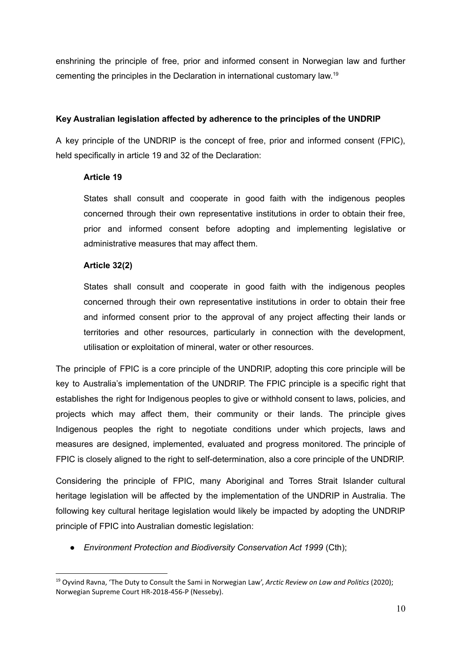enshrining the principle of free, prior and informed consent in Norwegian law and further cementing the principles in the Declaration in international customary law. 19

## **Key Australian legislation affected by adherence to the principles of the UNDRIP**

A key principle of the UNDRIP is the concept of free, prior and informed consent (FPIC), held specifically in article 19 and 32 of the Declaration:

## **Article 19**

States shall consult and cooperate in good faith with the indigenous peoples concerned through their own representative institutions in order to obtain their free, prior and informed consent before adopting and implementing legislative or administrative measures that may affect them.

## **Article 32(2)**

States shall consult and cooperate in good faith with the indigenous peoples concerned through their own representative institutions in order to obtain their free and informed consent prior to the approval of any project affecting their lands or territories and other resources, particularly in connection with the development, utilisation or exploitation of mineral, water or other resources.

The principle of FPIC is a core principle of the UNDRIP, adopting this core principle will be key to Australia's implementation of the UNDRIP. The FPIC principle is a specific right that establishes the right for Indigenous peoples to give or withhold consent to laws, policies, and projects which may affect them, their community or their lands. The principle gives Indigenous peoples the right to negotiate conditions under which projects, laws and measures are designed, implemented, evaluated and progress monitored. The principle of FPIC is closely aligned to the right to self-determination, also a core principle of the UNDRIP.

Considering the principle of FPIC, many Aboriginal and Torres Strait Islander cultural heritage legislation will be affected by the implementation of the UNDRIP in Australia. The following key cultural heritage legislation would likely be impacted by adopting the UNDRIP principle of FPIC into Australian domestic legislation:

● *Environment Protection and Biodiversity Conservation Act 1999* (Cth);

<sup>19</sup> Oyvind Ravna, 'The Duty to Consult the Sami in Norwegian Law', *Arctic Review on Law and Politics* (2020); Norwegian Supreme Court HR-2018-456-P (Nesseby).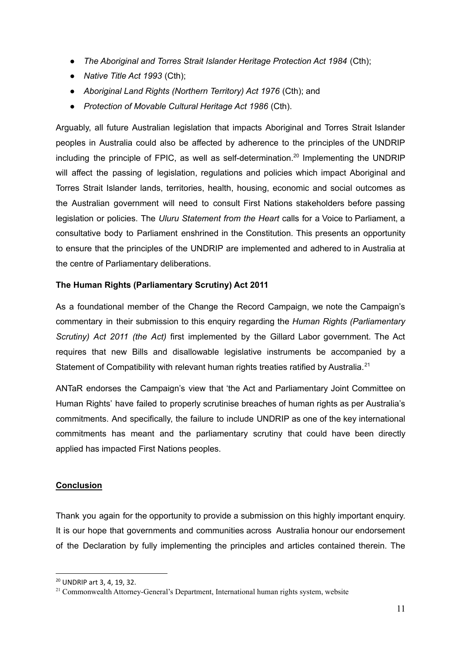- *The Aboriginal and Torres Strait Islander Heritage Protection Act 1984* (Cth);
- *Native Title Act 1993* (Cth);
- *Aboriginal Land Rights (Northern Territory) Act 1976* (Cth); and
- *Protection of Movable Cultural Heritage Act 1986* (Cth).

Arguably, all future Australian legislation that impacts Aboriginal and Torres Strait Islander peoples in Australia could also be affected by adherence to the principles of the UNDRIP including the principle of FPIC, as well as self-determination.<sup>20</sup> Implementing the UNDRIP will affect the passing of legislation, regulations and policies which impact Aboriginal and Torres Strait Islander lands, territories, health, housing, economic and social outcomes as the Australian government will need to consult First Nations stakeholders before passing legislation or policies. The *Uluru Statement from the Heart* calls for a Voice to Parliament, a consultative body to Parliament enshrined in the Constitution. This presents an opportunity to ensure that the principles of the UNDRIP are implemented and adhered to in Australia at the centre of Parliamentary deliberations.

## **The Human Rights (Parliamentary Scrutiny) Act 2011**

As a foundational member of the Change the Record Campaign, we note the Campaign's commentary in their submission to this enquiry regarding the *Human Rights (Parliamentary Scrutiny) Act 2011 (the Act)* first implemented by the Gillard Labor government. The Act requires that new Bills and disallowable legislative instruments be accompanied by a Statement of Compatibility with relevant human rights treaties ratified by Australia.<sup>21</sup>

ANTaR endorses the Campaign's view that 'the Act and Parliamentary Joint Committee on Human Rights' have failed to properly scrutinise breaches of human rights as per Australia's commitments. And specifically, the failure to include UNDRIP as one of the key international commitments has meant and the parliamentary scrutiny that could have been directly applied has impacted First Nations peoples.

#### **Conclusion**

Thank you again for the opportunity to provide a submission on this highly important enquiry. It is our hope that governments and communities across Australia honour our endorsement of the Declaration by fully implementing the principles and articles contained therein. The

<sup>20</sup> UNDRIP art 3, 4, 19, 32.

<sup>&</sup>lt;sup>21</sup> Commonwealth Attorney-General's Department, International human rights system, website